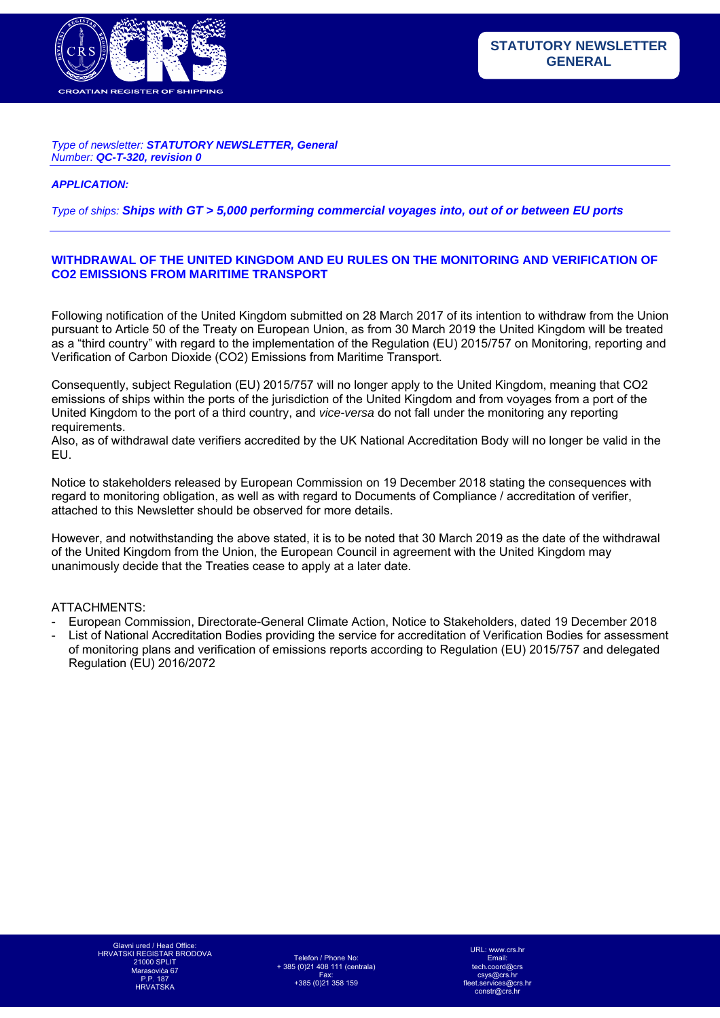

#### *Type of newsletter: STATUTORY NEWSLETTER, General Number: QC-T-320, revision 0*

### *APPLICATION:*

*Type of ships: Ships with GT > 5,000 performing commercial voyages into, out of or between EU ports*

### **WITHDRAWAL OF THE UNITED KINGDOM AND EU RULES ON THE MONITORING AND VERIFICATION OF CO2 EMISSIONS FROM MARITIME TRANSPORT**

Following notification of the United Kingdom submitted on 28 March 2017 of its intention to withdraw from the Union pursuant to Article 50 of the Treaty on European Union, as from 30 March 2019 the United Kingdom will be treated as a "third country" with regard to the implementation of the Regulation (EU) 2015/757 on Monitoring, reporting and Verification of Carbon Dioxide (CO2) Emissions from Maritime Transport.

Consequently, subject Regulation (EU) 2015/757 will no longer apply to the United Kingdom, meaning that CO2 emissions of ships within the ports of the jurisdiction of the United Kingdom and from voyages from a port of the United Kingdom to the port of a third country, and *vice-versa* do not fall under the monitoring any reporting requirements.

Also, as of withdrawal date verifiers accredited by the UK National Accreditation Body will no longer be valid in the EU.

Notice to stakeholders released by European Commission on 19 December 2018 stating the consequences with regard to monitoring obligation, as well as with regard to Documents of Compliance / accreditation of verifier, attached to this Newsletter should be observed for more details.

However, and notwithstanding the above stated, it is to be noted that 30 March 2019 as the date of the withdrawal of the United Kingdom from the Union, the European Council in agreement with the United Kingdom may unanimously decide that the Treaties cease to apply at a later date.

#### ATTACHMENTS:

- European Commission, Directorate-General Climate Action, Notice to Stakeholders, dated 19 December 2018
- List of National Accreditation Bodies providing the service for accreditation of Verification Bodies for assessment of monitoring plans and verification of emissions reports according to Regulation (EU) 2015/757 and delegated Regulation (EU) 2016/2072

Telefon / Phone No: + 385 (0)21 408 111 (centrala) Fax: +385 (0)21 358 159

URL: www.crs.hr Email: tech.coord@crs csys@crs.hr fleet.services@crs.hr constr@crs.h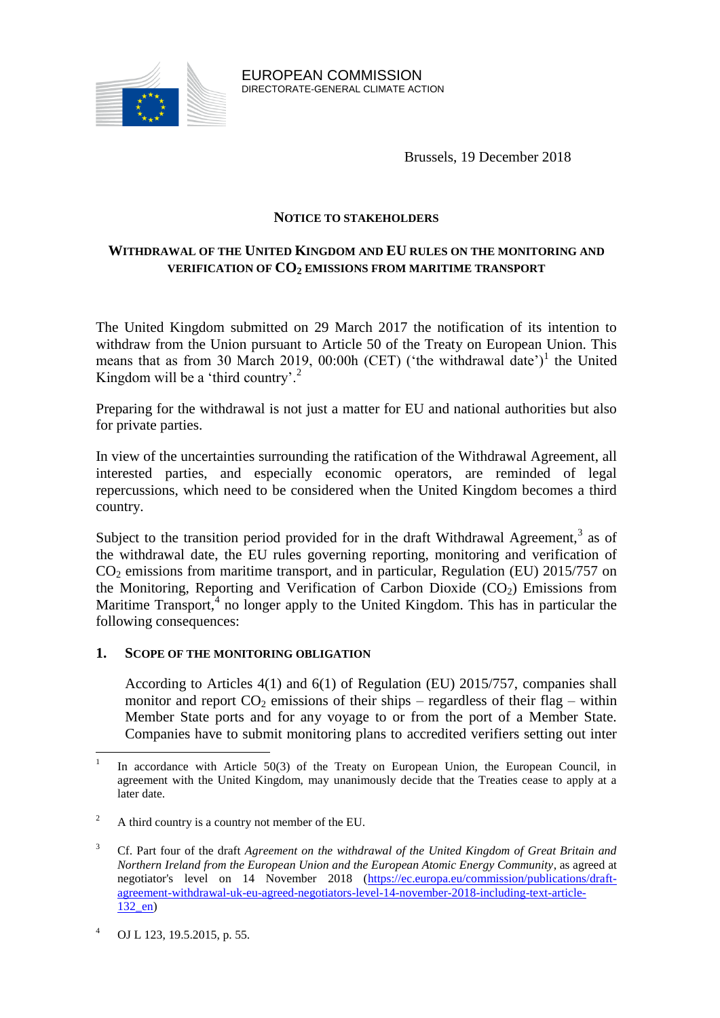

Brussels, 19 December 2018

# **NOTICE TO STAKEHOLDERS**

# **WITHDRAWAL OF THE UNITED KINGDOM AND EU RULES ON THE MONITORING AND VERIFICATION OF CO<sup>2</sup> EMISSIONS FROM MARITIME TRANSPORT**

The United Kingdom submitted on 29 March 2017 the notification of its intention to withdraw from the Union pursuant to Article 50 of the Treaty on European Union. This means that as from 30 March 2019, 00:00h (CET) ('the withdrawal date')<sup>1</sup> the United Kingdom will be a 'third country'.<sup>2</sup>

Preparing for the withdrawal is not just a matter for EU and national authorities but also for private parties.

In view of the uncertainties surrounding the ratification of the Withdrawal Agreement, all interested parties, and especially economic operators, are reminded of legal repercussions, which need to be considered when the United Kingdom becomes a third country.

Subject to the transition period provided for in the draft Withdrawal Agreement,<sup>3</sup> as of the withdrawal date, the EU rules governing reporting, monitoring and verification of  $CO<sub>2</sub>$  emissions from maritime transport, and in particular, Regulation (EU) 2015/757 on the Monitoring, Reporting and Verification of Carbon Dioxide  $(CO<sub>2</sub>)$  Emissions from Maritime Transport, $4$  no longer apply to the United Kingdom. This has in particular the following consequences:

## **1. SCOPE OF THE MONITORING OBLIGATION**

According to Articles 4(1) and 6(1) of Regulation (EU) 2015/757, companies shall monitor and report  $CO_2$  emissions of their ships – regardless of their flag – within Member State ports and for any voyage to or from the port of a Member State. Companies have to submit monitoring plans to accredited verifiers setting out inter

 $\frac{1}{1}$ In accordance with Article 50(3) of the Treaty on European Union, the European Council, in agreement with the United Kingdom, may unanimously decide that the Treaties cease to apply at a later date.

<sup>&</sup>lt;sup>2</sup> A third country is a country not member of the EU.

<sup>3</sup> Cf. Part four of the draft *Agreement on the withdrawal of the United Kingdom of Great Britain and Northern Ireland from the European Union and the European Atomic Energy Community*, as agreed at negotiator's level on 14 November 2018 [\(https://ec.europa.eu/commission/publications/draft](https://ec.europa.eu/commission/publications/draft-agreement-withdrawal-uk-eu-agreed-negotiators-level-14-november-2018-including-text-article-132_en)[agreement-withdrawal-uk-eu-agreed-negotiators-level-14-november-2018-including-text-article-](https://ec.europa.eu/commission/publications/draft-agreement-withdrawal-uk-eu-agreed-negotiators-level-14-november-2018-including-text-article-132_en)132 en)

<sup>4</sup> OJ L 123, 19.5.2015, p. 55.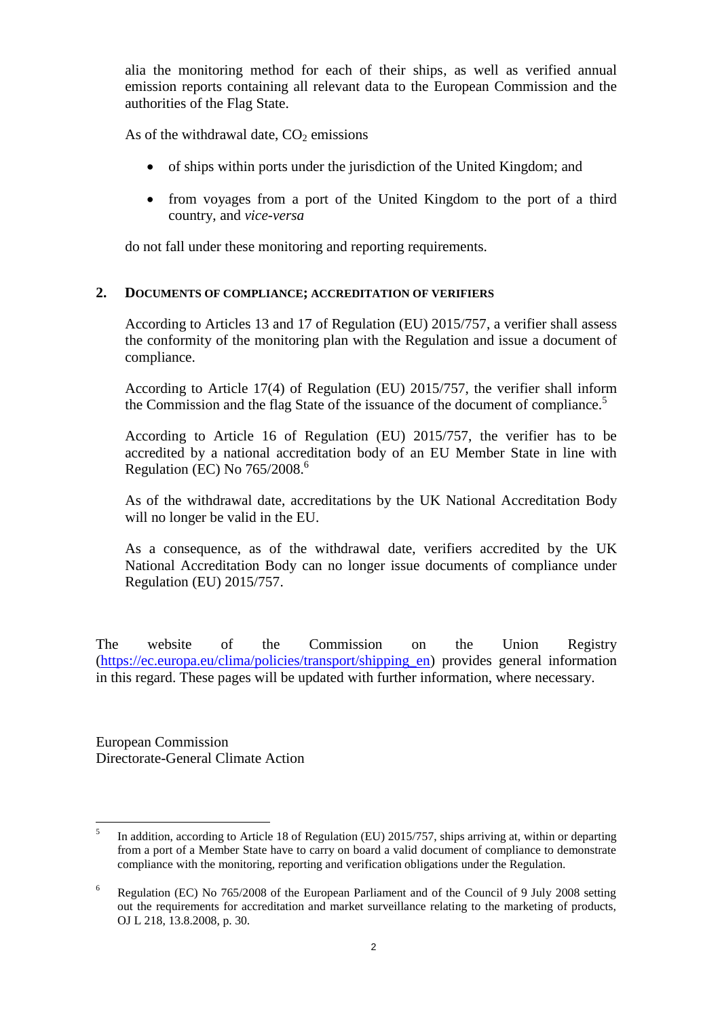alia the monitoring method for each of their ships, as well as verified annual emission reports containing all relevant data to the European Commission and the authorities of the Flag State.

As of the withdrawal date,  $CO<sub>2</sub>$  emissions

- of ships within ports under the jurisdiction of the United Kingdom; and
- from voyages from a port of the United Kingdom to the port of a third country, and *vice-versa*

do not fall under these monitoring and reporting requirements.

## **2. DOCUMENTS OF COMPLIANCE; ACCREDITATION OF VERIFIERS**

According to Articles 13 and 17 of Regulation (EU) 2015/757, a verifier shall assess the conformity of the monitoring plan with the Regulation and issue a document of compliance.

According to Article 17(4) of Regulation (EU) 2015/757, the verifier shall inform the Commission and the flag State of the issuance of the document of compliance.<sup>5</sup>

According to Article 16 of Regulation (EU) 2015/757, the verifier has to be accredited by a national accreditation body of an EU Member State in line with Regulation (EC) No 765/2008. 6

As of the withdrawal date, accreditations by the UK National Accreditation Body will no longer be valid in the EU.

As a consequence, as of the withdrawal date, verifiers accredited by the UK National Accreditation Body can no longer issue documents of compliance under Regulation (EU) 2015/757.

The website of the Commission on the Union Registry (https://ec.europa.eu/clima/policies/transport/shipping\_en) provides general information in this regard. These pages will be updated with further information, where necessary.

European Commission Directorate-General Climate Action

 5 In addition, according to Article 18 of Regulation (EU) 2015/757, ships arriving at, within or departing from a port of a Member State have to carry on board a valid document of compliance to demonstrate compliance with the monitoring, reporting and verification obligations under the Regulation.

<sup>&</sup>lt;sup>6</sup> Regulation (EC) No 765/2008 of the European Parliament and of the Council of 9 July 2008 setting out the requirements for accreditation and market surveillance relating to the marketing of products, OJ L 218, 13.8.2008, p. 30.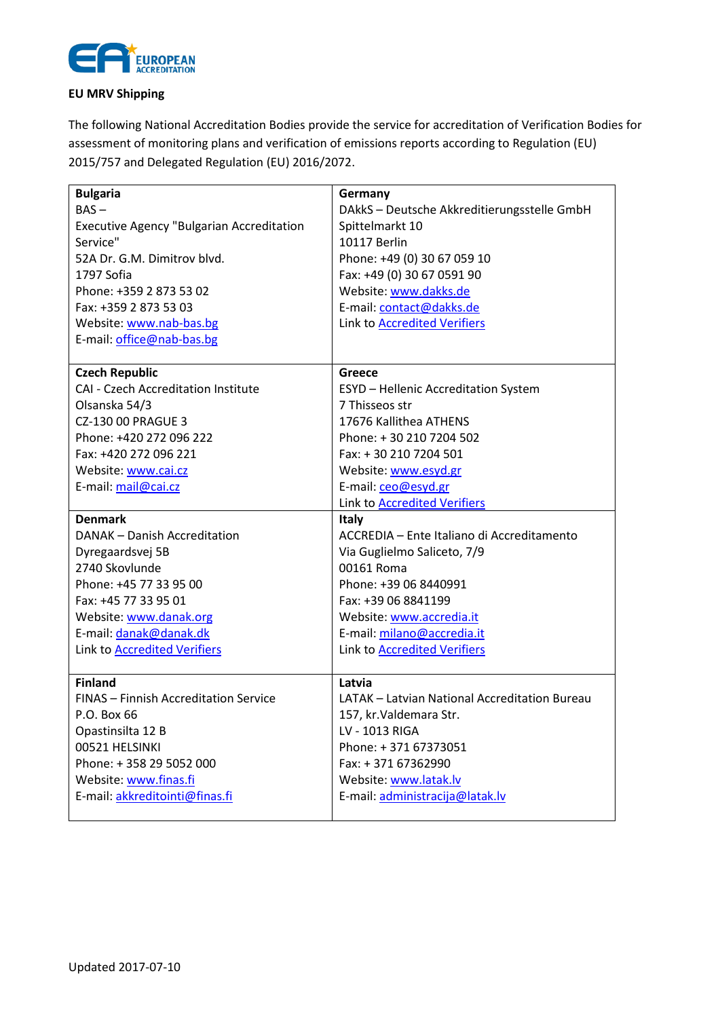

# **EU MRV Shipping**

The following National Accreditation Bodies provide the service for accreditation of Verification Bodies for assessment of monitoring plans and verification of emissions reports according to Regulation (EU) 2015/757 and Delegated Regulation (EU) 2016/2072.

| <b>Bulgaria</b>                                  | Germany                                       |
|--------------------------------------------------|-----------------------------------------------|
| $BAS -$                                          | DAkkS - Deutsche Akkreditierungsstelle GmbH   |
| <b>Executive Agency "Bulgarian Accreditation</b> | Spittelmarkt 10                               |
| Service"                                         | 10117 Berlin                                  |
| 52A Dr. G.M. Dimitrov blvd.                      | Phone: +49 (0) 30 67 059 10                   |
| 1797 Sofia                                       | Fax: +49 (0) 30 67 0591 90                    |
| Phone: +359 2 873 53 02                          | Website: www.dakks.de                         |
| Fax: +359 2 873 53 03                            | E-mail: contact@dakks.de                      |
| Website: www.nab-bas.bg                          | Link to <b>Accredited Verifiers</b>           |
| E-mail: office@nab-bas.bg                        |                                               |
|                                                  |                                               |
| <b>Czech Republic</b>                            | Greece                                        |
| <b>CAI - Czech Accreditation Institute</b>       | <b>ESYD - Hellenic Accreditation System</b>   |
| Olsanska 54/3                                    | 7 Thisseos str                                |
| <b>CZ-130 00 PRAGUE 3</b>                        | 17676 Kallithea ATHENS                        |
| Phone: +420 272 096 222                          | Phone: +30 210 7204 502                       |
| Fax: +420 272 096 221                            | Fax: +30 210 7204 501                         |
| Website: www.cai.cz                              | Website: www.esyd.gr                          |
| E-mail: mail@cai.cz                              | E-mail: ceo@esyd.gr                           |
|                                                  | Link to <b>Accredited Verifiers</b>           |
| <b>Denmark</b>                                   | <b>Italy</b>                                  |
| DANAK - Danish Accreditation                     | ACCREDIA - Ente Italiano di Accreditamento    |
| Dyregaardsvej 5B                                 | Via Guglielmo Saliceto, 7/9                   |
| 2740 Skovlunde                                   | 00161 Roma                                    |
| Phone: +45 77 33 95 00                           | Phone: +39 06 8440991                         |
| Fax: +45 77 33 95 01                             | Fax: +39 06 8841199                           |
| Website: www.danak.org                           | Website: www.accredia.it                      |
| E-mail: danak@danak.dk                           | E-mail: milano@accredia.it                    |
| Link to Accredited Verifiers                     | Link to Accredited Verifiers                  |
|                                                  |                                               |
| <b>Finland</b>                                   | Latvia                                        |
| <b>FINAS - Finnish Accreditation Service</b>     | LATAK - Latvian National Accreditation Bureau |
| P.O. Box 66                                      | 157, kr. Valdemara Str.                       |
| Opastinsilta 12 B                                | LV - 1013 RIGA                                |
| 00521 HELSINKI                                   | Phone: +371 67373051                          |
| Phone: +358 29 5052 000                          | Fax: +371 67362990                            |
| Website: www.finas.fi                            | Website: www.latak.lv                         |
| E-mail: akkreditointi@finas.fi                   | E-mail: administracija@latak.lv               |
|                                                  |                                               |